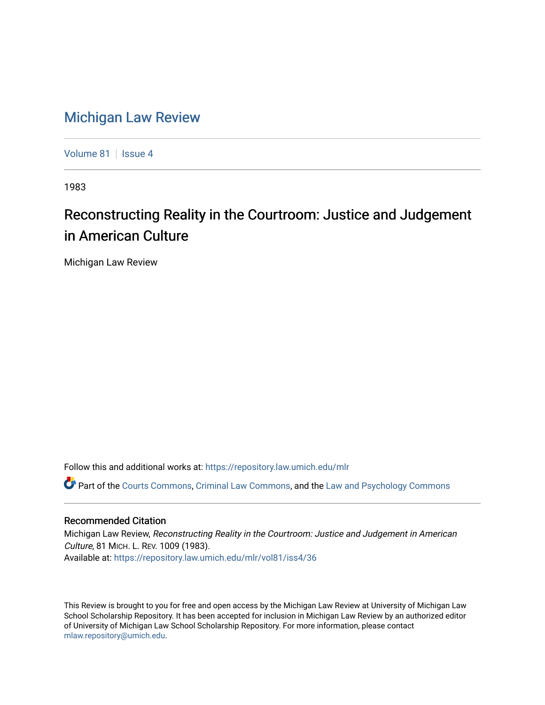## [Michigan Law Review](https://repository.law.umich.edu/mlr)

[Volume 81](https://repository.law.umich.edu/mlr/vol81) | [Issue 4](https://repository.law.umich.edu/mlr/vol81/iss4)

1983

## Reconstructing Reality in the Courtroom: Justice and Judgement in American Culture

Michigan Law Review

Follow this and additional works at: [https://repository.law.umich.edu/mlr](https://repository.law.umich.edu/mlr?utm_source=repository.law.umich.edu%2Fmlr%2Fvol81%2Fiss4%2F36&utm_medium=PDF&utm_campaign=PDFCoverPages) 

Part of the [Courts Commons,](http://network.bepress.com/hgg/discipline/839?utm_source=repository.law.umich.edu%2Fmlr%2Fvol81%2Fiss4%2F36&utm_medium=PDF&utm_campaign=PDFCoverPages) [Criminal Law Commons](http://network.bepress.com/hgg/discipline/912?utm_source=repository.law.umich.edu%2Fmlr%2Fvol81%2Fiss4%2F36&utm_medium=PDF&utm_campaign=PDFCoverPages), and the [Law and Psychology Commons](http://network.bepress.com/hgg/discipline/870?utm_source=repository.law.umich.edu%2Fmlr%2Fvol81%2Fiss4%2F36&utm_medium=PDF&utm_campaign=PDFCoverPages) 

## Recommended Citation

Michigan Law Review, Reconstructing Reality in the Courtroom: Justice and Judgement in American Culture, 81 MICH. L. REV. 1009 (1983). Available at: [https://repository.law.umich.edu/mlr/vol81/iss4/36](https://repository.law.umich.edu/mlr/vol81/iss4/36?utm_source=repository.law.umich.edu%2Fmlr%2Fvol81%2Fiss4%2F36&utm_medium=PDF&utm_campaign=PDFCoverPages) 

This Review is brought to you for free and open access by the Michigan Law Review at University of Michigan Law School Scholarship Repository. It has been accepted for inclusion in Michigan Law Review by an authorized editor of University of Michigan Law School Scholarship Repository. For more information, please contact [mlaw.repository@umich.edu.](mailto:mlaw.repository@umich.edu)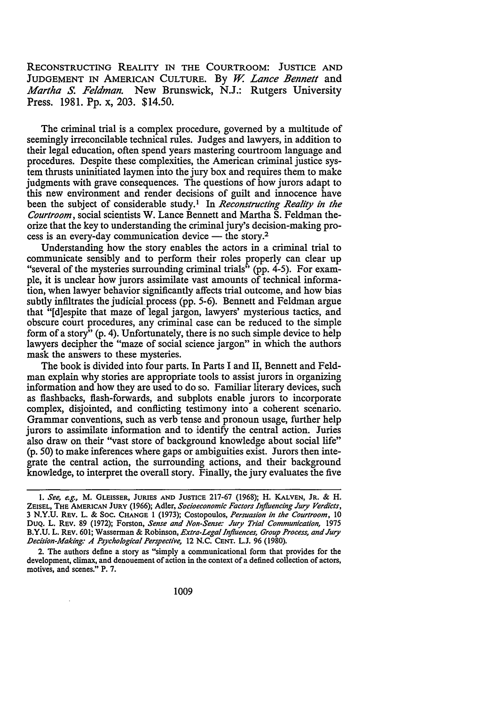RECONSTRUCTING REALITY IN THE COURTROOM: JUSTICE AND JUDGEMENT IN AMERICAN CULTURE. By W. Lance Bennett and *Martha* S. *Feldman.* New Brunswick, N.J.: Rutgers University Press. 1981. Pp. x, 203. \$14.50.

The criminal trial is a complex procedure, governed by a multitude of seemingly irreconcilable technical rules. Judges and lawyers, in addition to their legal education, often spend years mastering courtroom language and procedures. Despite these complexities, the American criminal justice system thrusts uninitiated laymen into the jury box and requires them to make judgments with grave consequences. The questions of how jurors adapt to this new environment and render decisions of guilt and innocence have been the subject of considerable study.<sup>1</sup> In *Reconstructing Reality in the Courtroom,* social scientists W. Lance Bennett and Martha S. Feldman theorize that the key to understanding the criminal jury's decision-making process is an every-day communication device  $-$  the story.<sup>2</sup>

Understanding how the story enables the actors in a criminal trial to communicate sensibly and to perform their roles properly can clear up "several of the mysteries surrounding criminal trials" (pp. 4-5). For example, it is unclear how jurors assimilate vast amounts of technical information, when lawyer behavior significantly affects trial outcome, and how bias subtly infiltrates the judicial.process (pp. 5-6). Bennett and Feldman argue that "[d]espite that maze of legal jargon, lawyers' mysterious tactics, and obscure court procedures, any criminal case can be reduced to the simple form of a story" (p. 4). Unfortunately, there is no such simple device to help lawyers decipher the "maze of social science jargon" in which the authors mask the answers to these mysteries.

The book is divided into four parts. In Parts I and II, Bennett and Feldman explain why stories are appropriate tools to assist jurors in organizing information and how they are used to do so. Familiar literary devices, such as flashbacks, flash-forwards, and subplots enable jurors to incorporate complex, disjointed, and conflicting testimony into a coherent scenario. Grammar conventions, such as verb tense and pronoun usage, further help jurors to assimilate information and to identify the central action. Juries also draw on their "vast store of background knowledge about social life" (p. 50) to make inferences where gaps or ambiguities exist. Jurors then integrate the central action, the surrounding actions, and their background knowledge, to interpret the overall story. Finally, the jury evaluates the five

I. *See, e.g.,* M. GLEISSER, JURIES AND JUSTICE 217-67 (1968); H. KALVEN, JR. & H. ZEISEL, THE AMERICAN JURY (1966); Adler, *Socioeconomic Factors Influencing Jury Verdicts*, 3 N.Y.U. REV. L. & Soc. CHANGE 1 (1973); Costopoulos, *Persuasion in the Courtroom,* 10 DUQ. L. REV. 89 (1972); Forston, *Sense and Non-Sense: Jury Trial Communication,* 1975 B.Y.U. L. REV. 601; Wasserman & Robinson, *Extra-Legal Influences, Group Process, and Jury .Decision-Making: A Psychological Perspective,* 12 N.C. CENT. L.J. 96 (1980).

<sup>2.</sup> The authors define a story as "simply a communicational form that provides for the development, climax, and denouement of action in the context of a defined collection of actors, motives, and scenes." P. 7.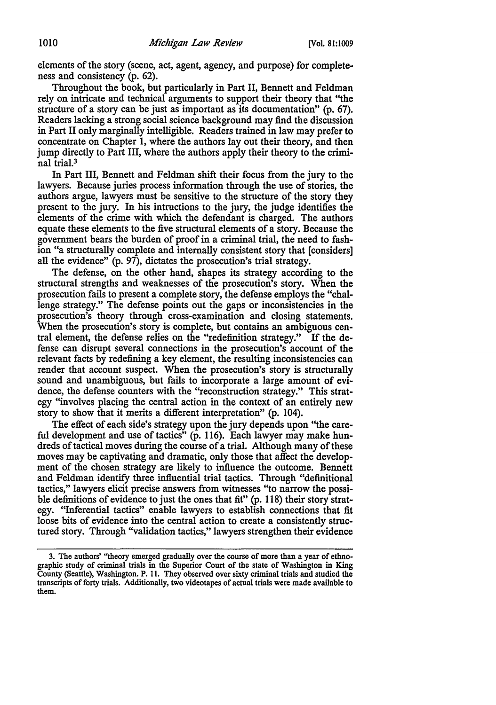elements of the story (scene, act, agent, agency, and purpose) for completeness and consistency (p. 62).

Throughout the book, but particularly in Part II, Bennett and Feldman rely on intricate and technical arguments to support their theory that "the structure of a story can be just as important as its documentation" (p. 67). Readers lacking a strong social science background may find the discussion in Part II only marginally intelligible. Readers trained in law may prefer to concentrate on Chapter 1, where the authors lay out their theory, and then jump directly to Part III, where the authors apply their theory to the criminal trial.3

In Part III, Bennett and Feldman shift their focus from the jury to the lawyers. Because juries process information through the use of stories, the authors argue, lawyers must be sensitive to the structure of the story they present to the jury. In his intructions to the jury, the judge identifies the elements of the crime with which the defendant is charged. The authors equate these elements to the five structural elements of a story. Because the government bears the burden of proof in a criminal trial, the need to fashion "a structurally complete and internally consistent story that [considers] all the evidence" (p. 97), dictates the prosecution's trial strategy.

The defense, on the other hand, shapes its strategy according to the structural strengths and weaknesses of the prosecution's story. When the prosecution fails to present a complete story, the defense employs the "challenge strategy." The defense points out the gaps or inconsistencies in the prosecution's theory through cross-examination and closing statements. When the prosecution's story is complete, but contains an ambiguous central element, the defense relies on the "redefinition strategy." If the defense can disrupt several connections in the prosecution's account of the relevant facts by redefining a key element, the resulting inconsistencies can render that account suspect. When the prosecution's story is structurally sound and unambiguous, but fails to incorporate a large amount of evidence, the defense counters with the "reconstruction strategy." This strategy "involves placing the central action in the context of an entirely new story to show that it merits a different interpretation" (p. 104).

The effect of each side's strategy upon the jury depends upon "the careful development and use of tactics" (p. 116). Each lawyer may make hundreds of tactical moves during the course of a trial. Although many of these moves may be captivating and dramatic, only those that affect the development of the chosen strategy are likely to influence the outcome. Bennett and Feldman identify three influential trial tactics. Through "definitional tactics," lawyers elicit precise answers from witnesses "to narrow the possible definitions of evidence to just the ones that fit" (p. 118) their story strategy. "Inferential tactics" enable lawyers to establish connections that fit loose bits of evidence into the central action to create a consistently structured story. Through ''validation tactics," lawyers strengthen their evidence

<sup>3.</sup> The authors' "theory emerged gradually over the course of more than a year of ethnographic study of criminal trials in the Superior Court of the state of Washington in King County (Seattle), Washington. P. 11. They observed over sixty criminal trials and studied the transcripts of forty trials. Additionally, two videotapes of actual trials were made available to them.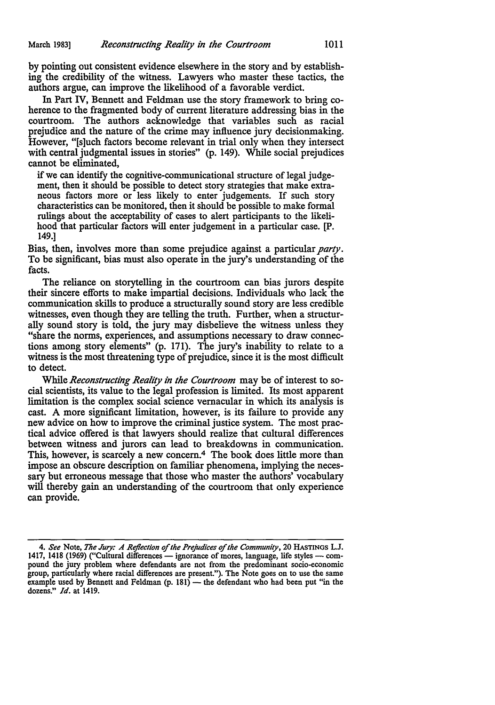by pointing out consistent evidence elsewhere in the story and by establishing the credibility of the witness. Lawyers who master these tactics, the authors argue, can improve the likelihood of a favorable verdict.

In Part IV, Bennett and Feldman use the story framework to bring coherence to the fragmented body of current literature addressing bias in the courtroom. The authors acknowledge that variables such as racial prejudice and the nature of the crime may influence jury decisionmaking. However, "[s]uch factors become relevant in trial only when they intersect with central judgmental issues in stories" (p. 149). While social prejudices cannot be eliminated,

if we can identify the cognitive-communicational structure of legal judgement, then it should be possible to detect story strategies that make extraneous factors more or less likely to enter judgements. If such story characteristics can be monitored, then it should be possible to make formal rulings about the acceptability of cases to alert participants to the likelihood that particular factors will enter judgement in a particular case. [P. 149.]

Bias, then, involves more than some prejudice against a particular *party.*  To be significant, bias must also operate in the jury's understanding of the facts.

The reliance on storytelling in the courtroom can bias jurors despite their sincere efforts to make impartial decisions. Individuals who lack the communication skills to produce a structurally sound story are less credible witnesses, even though they are telling the truth. Further, when a structurally sound story is told, the jury may disbelieve the witness unless they "share the norms, experiences, and assumptions necessary to draw connections among story elements" (p. 171). The jury's inability to relate to a witness is the most threatening type of prejudice, since it is the most difficult to detect.

While *Reconstructing Reality in the Courtroom* may be of interest to social scientists, its value to the legal profession is limited. Its most apparent limitation is the complex social science vernacular in which its analysis is cast. A more significant limitation, however, is its failure to provide any new advice on how to improve the criminal justice system. The most practical advice offered is that lawyers should realize that cultural differences between witness and jurors can lead to breakdowns in communication. This, however, is scarcely a new concern.<sup>4</sup> The book does little more than impose an obscure description on familiar phenomena, implying the necessary but erroneous message that those who master the authors' vocabulary will thereby gain an understanding of the courtroom that only experience can provide.

<sup>4.</sup> *See* Note, *The Jury: A Reflection of the Prejudices of the Community,* 20 HASTINGS L.J. 1417, 1418 (1969) ("Cultural differences - ignorance of mores, language, life styles - compound the jury problem where defendants are not from the predominant socio-economic group, particularly where racial differences are present."). The Note goes on to use the same<br>example used by Bennett and Feldman (p. 181) — the defendant who had been put "in the dozens." *Id.* at 1419.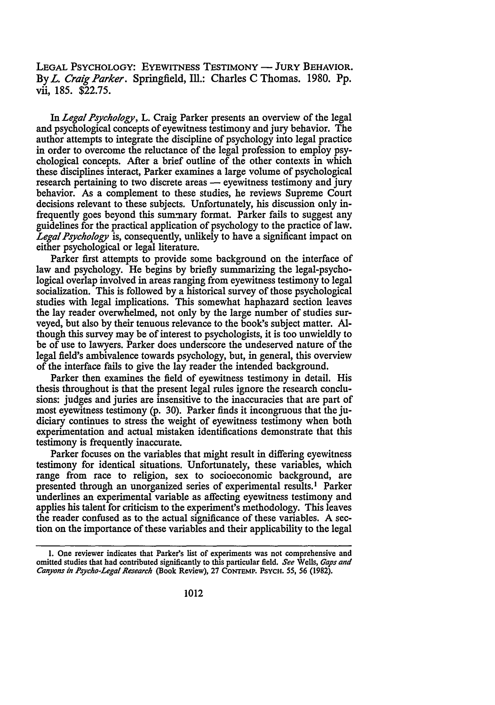LEGAL PSYCHOLOGY: EYEWITNESS TESTIMONY - JURY BEHAVIOR. By *L. Craig Parker.* Springfield, Ill.: Charles C Thomas. 1980. Pp. vii, 185. \$22.75.

In *Legal Psychology,* L. Craig Parker presents an overview of the legal and psychological concepts of eyewitness testimony and jury behavior. The author attempts to integrate the discipline of psychology into legal practice in order to overcome the reluctance of the legal profession to employ psychological concepts. After a brief outline of the other contexts in which these disciplines interact, Parker examines a large volume of psychological research pertaining to two discrete areas — eyewitness testimony and jury behavior. As a complement to these studies, he reviews Supreme Court decisions relevant to these subjects. Unfortunately, his discussion only infrequently goes beyond this summary format. Parker fails to suggest any guidelines for the practical application of psychology to the practice oflaw. *Legal Psychology* is, consequently, unlikely to have a significant impact on either psychological or legal literature.

Parker first attempts to provide some background on the interface of law and psychology. He begins by briefly summarizing the legal-psychological overlap involved in areas ranging from eyewitness testimony to legal socialization. This is followed by a historical survey of those psychological studies with legal implications. This somewhat haphazard section leaves the lay reader overwhelmed, not only by the large number of studies surveyed, but also by their tenuous relevance to the book's subject matter. Although this survey may be of interest to psychologists, it is too unwieldly to be of use to lawyers. Parker does underscore the undeserved nature of the legal field's ambivalence towards psychology, but, in general, this overview of the interface fails to give the lay reader the intended background.

Parker then examines the field of eyewitness testimony in detail. His thesis throughout is that the present legal rules ignore the research conclusions: judges and juries are insensitive to the inaccuracies that are part of most eyewitness testimony (p. 30). Parker finds it incongruous that the judiciary continues to stress the weight of eyewitness testimony when both experimentation and actual mistaken identifications demonstrate that this testimony is frequently inaccurate.

Parker focuses on the variables that might result in differing eyewitness testimony for identical situations. Unfortunately, these variables, which range from race to religion, sex to socioeconomic background, are presented through an unorganized series of experimental results. 1 Parker underlines an experimental variable as affecting eyewitness testimony and applies his talent for criticism to the experiment's methodology. This leaves the reader confused as to the actual significance of these variables. A section on the importance of these variables and their applicability to the legal

I. One reviewer indicates that Parker's list of experiments was not comprehensive and omitted studies that had contributed significantly to this particular field. *See* Wells, *Gaps and Canyons in Psycho-Lego/ Research* (Book Review), 27 CONTEMP. PSYCH. *55, 56* (1982).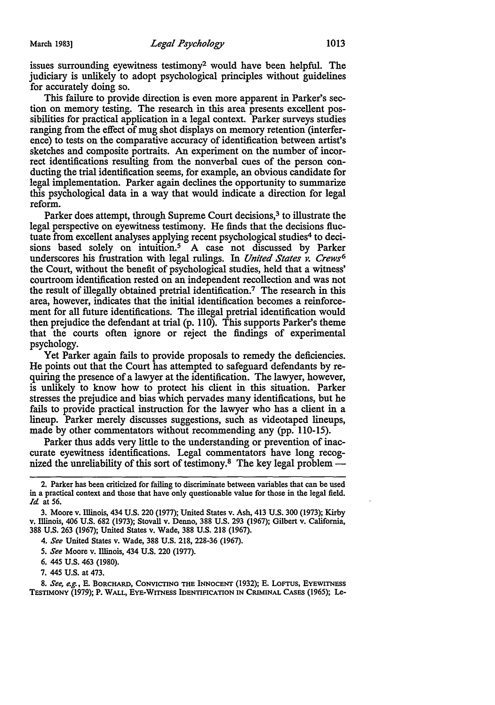issues surrounding eyewitness testimony2 would have been helpful. The judiciary is unlikely to adopt psychological principles without guidelines for accurately doing so.

This failure to provide direction is even more apparent in Parker's section on memory testing. The research in this area presents excellent possibilities for practical application in a legal context. Parker surveys studies ranging from the effect of mug shot displays on memory retention (interference) to tests on the comparative accuracy of identification between artist's sketches and composite portraits. An experiment on the number of incorrect identifications resulting from the nonverbal cues of the person conducting the trial identification seems, for example, an obvious candidate for legal implementation. Parker again declines the opportunity to summarize this psychological data in a way that would indicate a direction for legal reform.

Parker does attempt, through Supreme Court decisions,<sup>3</sup> to illustrate the legal perspective on eyewitness testimony. He finds that the decisions fluctuate from excellent analyses applying recent psychological studies<sup>4</sup> to decisions based solely on intuition.<sup>5</sup> A case not discussed by Parker underscores his frustration with legal rulings. In *United States v. Crews6*  the Court, without the benefit of psychological studies, held that a witness' courtroom identification rested on an independent recollection and was not the result of illegally obtained pretrial identification.7 The research in this area, however, indicates that the initial identification becomes a reinforcement for all future identifications. The illegal pretrial identification would then prejudice the defendant at trial (p. 110). This supports Parker's theme that the courts often ignore or reject the findings of experimental psychology.

Yet Parker again fails to provide proposals to remedy the deficiencies. He points out that the Court has attempted to safeguard defendants by requiring the presence of a lawyer at the identification. The lawyer, however, is unlikely to know how to protect his client in this situation. Parker stresses the prejudice and bias which pervades many identifications, but he fails to provide practical instruction for the lawyer who has a client in a lineup. Parker merely discusses suggestions, such as videotaped lineups, made by other commentators without recommending any (pp. 110-15).

Parker thus adds very little to the understanding or prevention of inaccurate eyewitness identifications. Legal commentators have long recognized the unreliability of this sort of testimony.<sup>8</sup> The key legal problem  $-$ 

<sup>2.</sup> Parker has been criticized for failing to discriminate between variables that can be used in a practical context and those that have only questionable value for those in the legal field. *Id* at 56.

<sup>3.</sup> Moore v. Illinois, 434 U.S. 220 (1977); United States v. Ash, 413 U.S. 300 (1973); Kirby v. Illinois, 406 U.S. 682 (1973); Stovall v. Denno, 388 U.S. 293 (1967); Gilbert v. California, 388 U.S. 263 (1967); United States v. Wade, 388 U.S. 218 (1967).

<sup>4.</sup> *See* United States v. Wade, 388 U.S. 218, 228-36 (1967).

*<sup>5.</sup> See* Moore v. Illinois, 434 U.S. 220 (1977).

<sup>6. 44</sup>S U.S. 463 (1980).

<sup>7. 445</sup> U.S. at 473.

<sup>8.</sup> *See, e.g.,* E. BORCHARD, CONVICTING THE INNOCENT (1932); E. LOFrUS, EYEWITNESS TESTIMONY (1979); P. WALL, EYE-WITNESS IDENTIFICATION IN CRIMINAL CASES (1965); Le-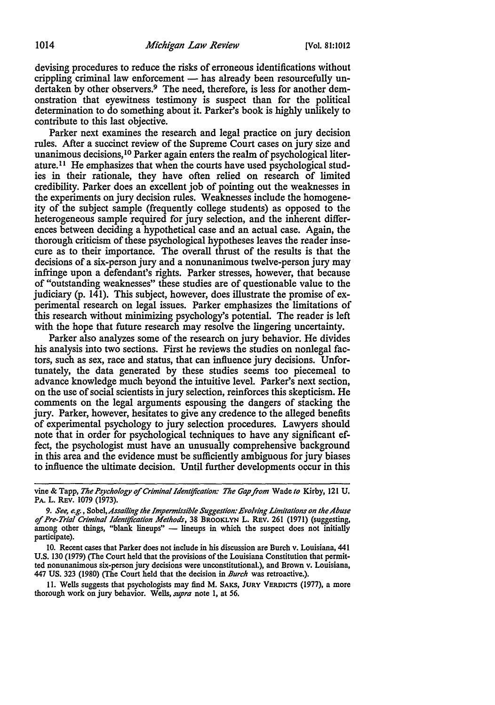devising procedures to reduce the risks of erroneous identifications without crippling criminal law enforcement  $-$  has already been resourcefully undertaken by other observers.<sup>9</sup> The need, therefore, is less for another demonstration that eyewitness testimony is suspect than for the political determination to do something about it. Parker's book is highly unlikely to contribute to this last objective.

Parker next examines the research and legal practice on jury decision rules. After a succinct review of the Supreme Court cases on jury size and unanimous decisions, 10 Parker again enters the realm of psychological literature.11 He emphasizes that when the courts have used psychological studies in their rationale, they have often relied on research of limited credibility. Parker does an excellent job of pointing out the weaknesses in the experiments on jury decision rules. Weaknesses include the homogeneity of the subject sample (frequently college students) as opposed to the heterogeneous sample required for jury selection, and the inherent differences between deciding a hypothetical case and an actual case. Again, the thorough criticism of these psychological hypotheses leaves the reader insecure as to their importance. The overall thrust of the results is that the decisions of a six-person jury and a nonunanimous twelve-person jury may infringe upon a defendant's rights. Parker stresses, however, that because of "outstanding weaknesses" these studies are of questionable value to the judiciary (p. 141). This subject, however, does illustrate the promise of experimental research on legal issues. Parker emphasizes the limitations of this research without minimizing psychology's potential. The reader is left with the hope that future research may resolve the lingering uncertainty.

Parker also analyzes some of the research on jury behavior. He divides his analysis into two sections. First he reviews the studies on nonlegal factors, such as sex, race and status, that can influence jury decisions. Unfortunately, the data generated by these studies seems too piecemeal to advance knowledge much beyond the intuitive level. Parker's next section, on the use of social scientists in jury selection, reinforces this skepticism. He comments on the legal arguments espousing the dangers of stacking the jury. Parker, however, hesitates to give any credence to the alleged benefits of experimental psychology to jury selection procedures. Lawyers should note that in order for psychological techniques to have any significant effect, the psychologist must have an unusually comprehensive background in this area and the evidence must be sufficiently ambiguous for jury biases to influence the ultimate decision. Until further developments occur in this

II. Wells suggests that psychologists may find M. SAKS, JURY VERDICTS (1977), a more thorough work on jury behavior. Wells, *supra* note I, at *56.* 

vine & Tapp, *The Psychology of Criminal Identification: The Gap ftom* Wade *to* Kirby, 121 U. PA. L. REV. 1079 (1973).

<sup>9.</sup> *See, e.g., Sobel,Assailing the Impermissible Suggestion: Evolving Limitations on the Abuse of Pre-Trial Criminal Identification Methods,* 38 BROOKLYN L. REV. 261 (1971) (suggesting, among other things, "blank lineups" - lineups in which the suspect does not initially participate).

<sup>10.</sup> Recent cases that Parker does not include in his discussion are Burch v. Louisiana, 441 U.S. 130 (1979) (The Court held that the provisions of the Louisiana Constitution that permitted nonunanimous six-person jury decisions were unconstitutional.), and Brown v. Louisiana, 447 US. 323 (1980) (The Court held that the decision in *Burch* was retroactive.).